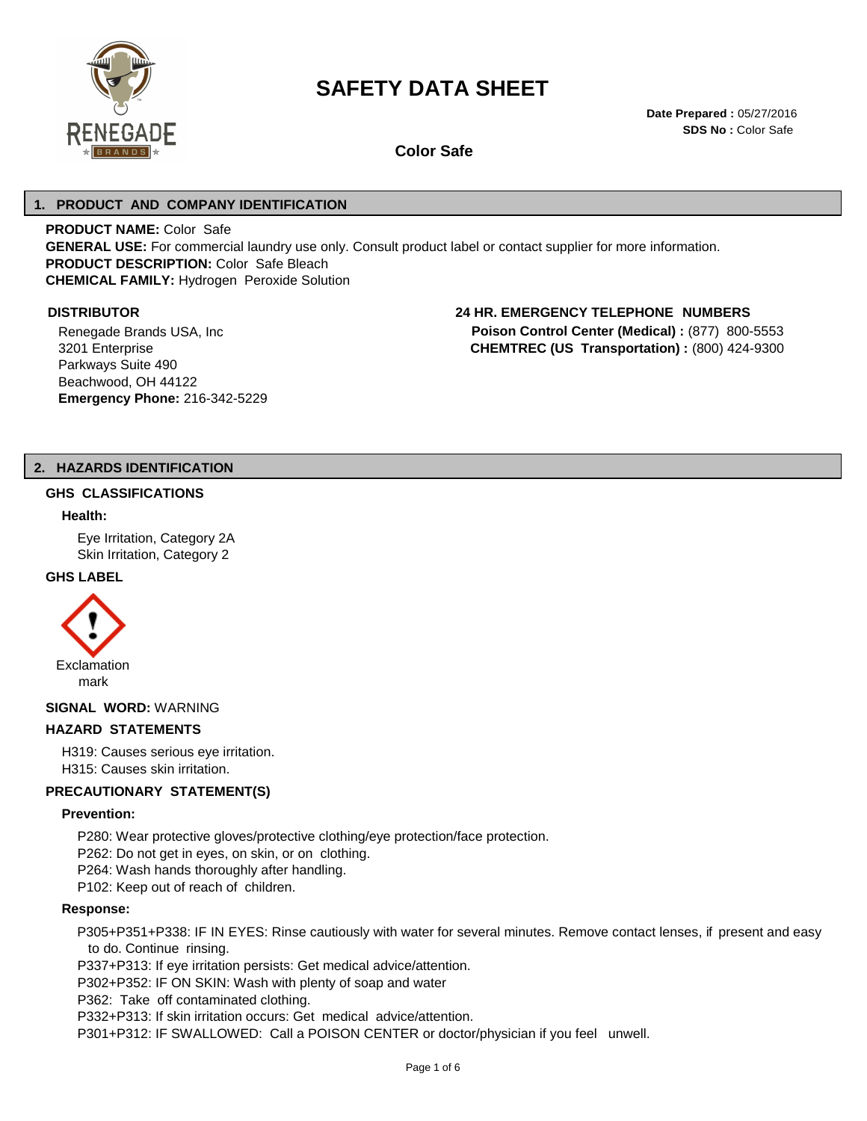

# **SAFETY DATA SHEET**

**Date Prepared :** 05/27/2016 **SDS No :** Color Safe

**Color Safe** 

## **1. PRODUCT AND COMPANY IDENTIFICATION**

**PRODUCT NAME:** Color Safe **GENERAL USE:** For commercial laundry use only. Consult product label or contact supplier for more information. **PRODUCT DESCRIPTION:** Color Safe Bleach **CHEMICAL FAMILY:** Hydrogen Peroxide Solution

Renegade Brands USA, Inc 3201 Enterprise Parkways Suite 490 Beachwood, OH 44122 **Emergency Phone:** 216-342-5229

## **DISTRIBUTOR 24 HR. EMERGENCY TELEPHONE NUMBERS**

**Poison Control Center (Medical) :** (877) 800-5553 **CHEMTREC (US Transportation) :** (800) 424-9300

## **2. HAZARDS IDENTIFICATION**

#### **GHS CLASSIFICATIONS**

#### **Health:**

Eye Irritation, Category 2A Skin Irritation, Category 2

## **GHS LABEL**



## **SIGNAL WORD:** WARNING

## **HAZARD STATEMENTS**

H319: Causes serious eye irritation. H315: Causes skin irritation.

## **PRECAUTIONARY STATEMENT(S)**

## **Prevention:**

P280: Wear protective gloves/protective clothing/eye protection/face protection.

P262: Do not get in eyes, on skin, or on clothing.

P264: Wash hands thoroughly after handling.

P102: Keep out of reach of children.

## **Response:**

P305+P351+P338: IF IN EYES: Rinse cautiously with water for several minutes. Remove contact lenses, if present and easy to do. Continue rinsing.

P337+P313: If eye irritation persists: Get medical advice/attention.

P302+P352: IF ON SKIN: Wash with plenty of soap and water

P362: Take off contaminated clothing.

P332+P313: If skin irritation occurs: Get medical advice/attention.

P301+P312: IF SWALLOWED: Call a POISON CENTER or doctor/physician if you feel unwell.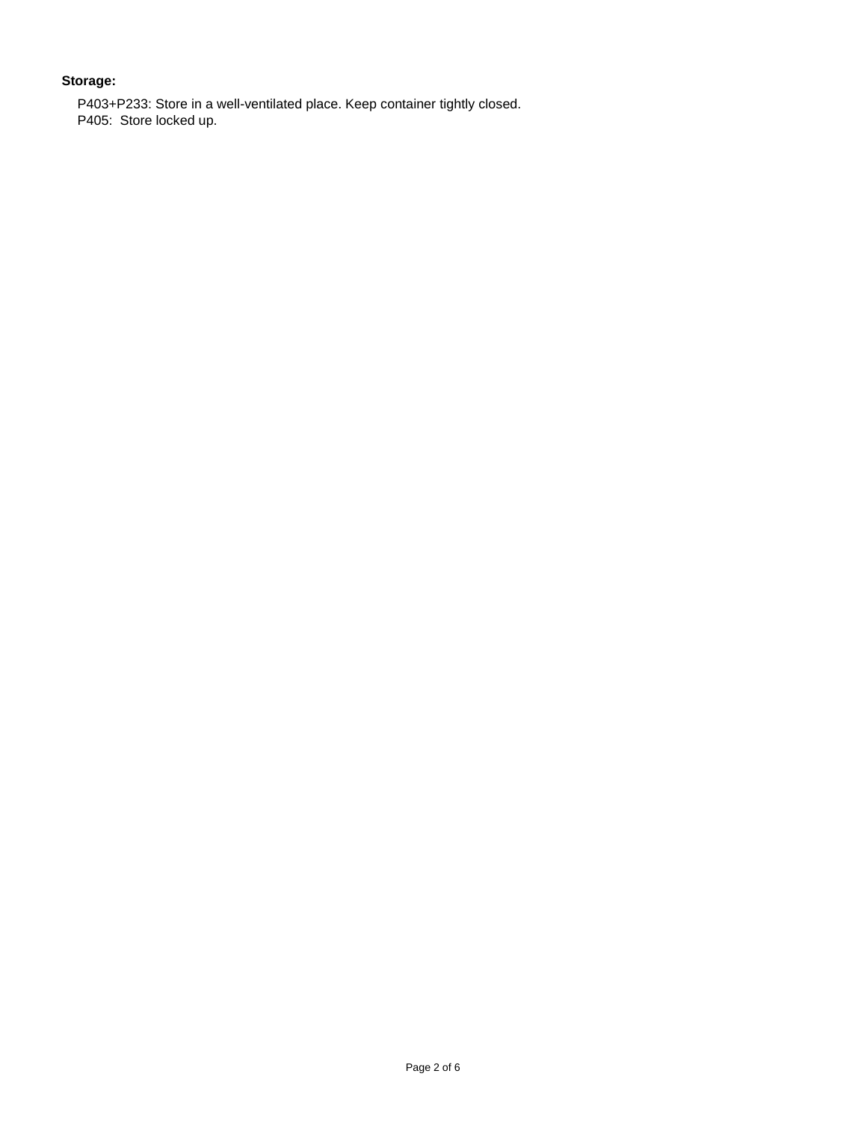## **Storage:**

P403+P233: Store in a well-ventilated place. Keep container tightly closed. P405: Store locked up.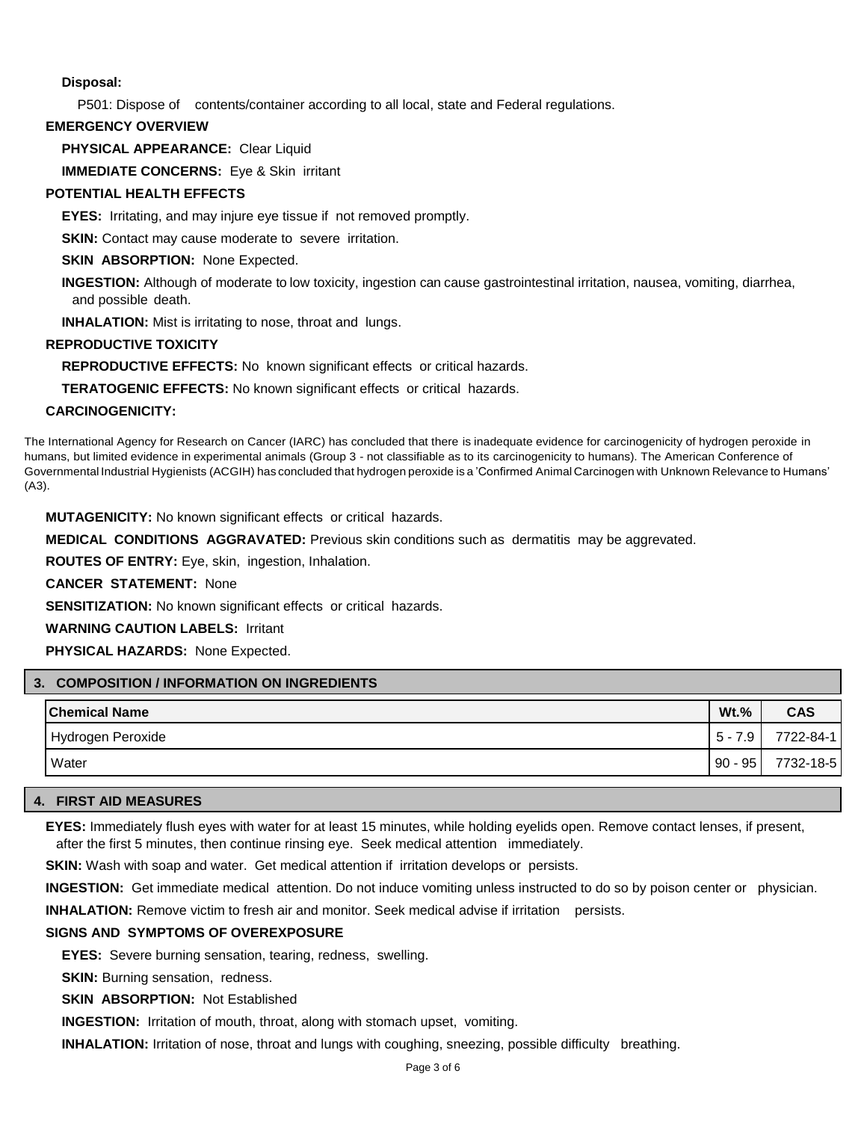## **Disposal:**

P501: Dispose of contents/container according to all local, state and Federal regulations.

## **EMERGENCY OVERVIEW**

**PHYSICAL APPEARANCE:** Clear Liquid

**IMMEDIATE CONCERNS:** Eye & Skin irritant

## **POTENTIAL HEALTH EFFECTS**

**EYES:** Irritating, and may injure eye tissue if not removed promptly.

**SKIN:** Contact may cause moderate to severe irritation.

**SKIN ABSORPTION: None Expected.** 

**INGESTION:** Although of moderate to low toxicity, ingestion can cause gastrointestinal irritation, nausea, vomiting, diarrhea, and possible death.

**INHALATION:** Mist is irritating to nose, throat and lungs.

## **REPRODUCTIVE TOXICITY**

**REPRODUCTIVE EFFECTS:** No known significant effects or critical hazards.

**TERATOGENIC EFFECTS:** No known significant effects or critical hazards.

## **CARCINOGENICITY:**

The International Agency for Research on Cancer (IARC) has concluded that there is inadequate evidence for carcinogenicity of hydrogen peroxide in humans, but limited evidence in experimental animals (Group 3 - not classifiable as to its carcinogenicity to humans). The American Conference of Governmental Industrial Hygienists (ACGIH) has concluded that hydrogen peroxide is a 'Confirmed Animal Carcinogen with Unknown Relevance to Humans' (A3).

**MUTAGENICITY:** No known significant effects or critical hazards.

**MEDICAL CONDITIONS AGGRAVATED:** Previous skin conditions such as dermatitis may be aggrevated.

**ROUTES OF ENTRY:** Eye, skin, ingestion, Inhalation.

**CANCER STATEMENT:** None

**SENSITIZATION:** No known significant effects or critical hazards.

**WARNING CAUTION LABELS:** Irritant

**PHYSICAL HAZARDS:** None Expected.

|  | 3. COMPOSITION / INFORMATION ON INGREDIENTS |           |            |
|--|---------------------------------------------|-----------|------------|
|  | <b>Chemical Name</b>                        | $Wt.$ %   | <b>CAS</b> |
|  | Hydrogen Peroxide                           | $5 - 7.9$ | 7722-84-1  |
|  | Water                                       | $90 - 95$ | 7732-18-5  |

## **4. FIRST AID MEASURES**

**EYES:** Immediately flush eyes with water for at least 15 minutes, while holding eyelids open. Remove contact lenses, if present, after the first 5 minutes, then continue rinsing eye. Seek medical attention immediately.

**SKIN:** Wash with soap and water. Get medical attention if irritation develops or persists.

**INGESTION:** Get immediate medical attention. Do not induce vomiting unless instructed to do so by poison center or physician.

**INHALATION:** Remove victim to fresh air and monitor. Seek medical advise if irritation persists.

## **SIGNS AND SYMPTOMS OF OVEREXPOSURE**

**EYES:** Severe burning sensation, tearing, redness, swelling.

**SKIN:** Burning sensation, redness.

**SKIN ABSORPTION:** Not Established

**INGESTION:** Irritation of mouth, throat, along with stomach upset, vomiting.

**INHALATION:** Irritation of nose, throat and lungs with coughing, sneezing, possible difficulty breathing.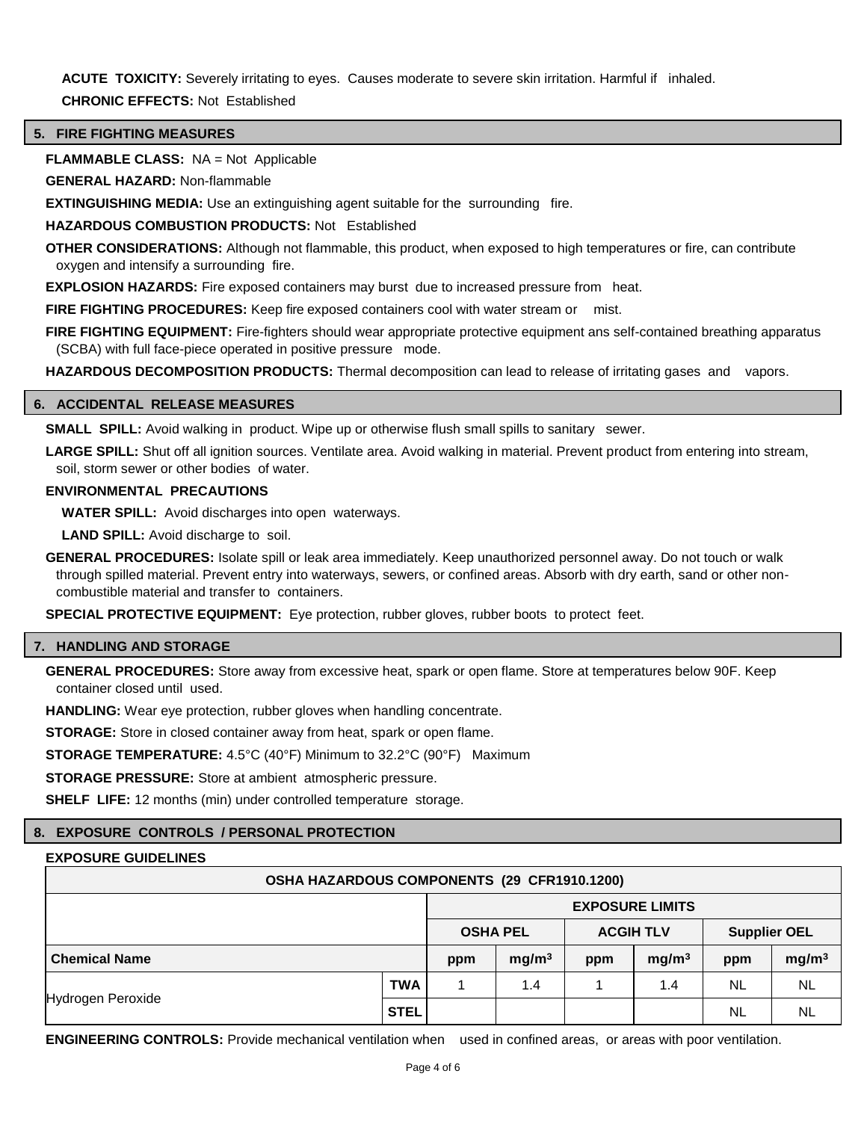**ACUTE TOXICITY:** Severely irritating to eyes. Causes moderate to severe skin irritation. Harmful if inhaled. **CHRONIC EFFECTS:** Not Established

## **5. FIRE FIGHTING MEASURES**

**FLAMMABLE CLASS:** NA = Not Applicable

**GENERAL HAZARD:** Non-flammable

**EXTINGUISHING MEDIA:** Use an extinguishing agent suitable for the surrounding fire.

**HAZARDOUS COMBUSTION PRODUCTS:** Not Established

**OTHER CONSIDERATIONS:** Although not flammable, this product, when exposed to high temperatures or fire, can contribute oxygen and intensify a surrounding fire.

**EXPLOSION HAZARDS:** Fire exposed containers may burst due to increased pressure from heat.

**FIRE FIGHTING PROCEDURES:** Keep fire exposed containers cool with water stream or mist.

**FIRE FIGHTING EQUIPMENT:** Fire-fighters should wear appropriate protective equipment ans self-contained breathing apparatus (SCBA) with full face-piece operated in positive pressure mode.

**HAZARDOUS DECOMPOSITION PRODUCTS:** Thermal decomposition can lead to release of irritating gases and vapors.

## **6. ACCIDENTAL RELEASE MEASURES**

**SMALL SPILL:** Avoid walking in product. Wipe up or otherwise flush small spills to sanitary sewer.

LARGE SPILL: Shut off all ignition sources. Ventilate area. Avoid walking in material. Prevent product from entering into stream, soil, storm sewer or other bodies of water.

## **ENVIRONMENTAL PRECAUTIONS**

**WATER SPILL:** Avoid discharges into open waterways.

**LAND SPILL:** Avoid discharge to soil.

**GENERAL PROCEDURES:** Isolate spill or leak area immediately. Keep unauthorized personnel away. Do not touch or walk through spilled material. Prevent entry into waterways, sewers, or confined areas. Absorb with dry earth, sand or other noncombustible material and transfer to containers.

**SPECIAL PROTECTIVE EQUIPMENT:** Eye protection, rubber gloves, rubber boots to protect feet.

## **7. HANDLING AND STORAGE**

**GENERAL PROCEDURES:** Store away from excessive heat, spark or open flame. Store at temperatures below 90F. Keep container closed until used.

**HANDLING:** Wear eye protection, rubber gloves when handling concentrate.

**STORAGE:** Store in closed container away from heat, spark or open flame.

**STORAGE TEMPERATURE:** 4.5°C (40°F) Minimum to 32.2°C (90°F) Maximum

**STORAGE PRESSURE:** Store at ambient atmospheric pressure.

**SHELF LIFE:** 12 months (min) under controlled temperature storage.

## **8. EXPOSURE CONTROLS / PERSONAL PROTECTION**

## **EXPOSURE GUIDELINES**

| OSHA HAZARDOUS COMPONENTS (29 CFR1910.1200) |             |     |                        |                     |                   |           |                   |
|---------------------------------------------|-------------|-----|------------------------|---------------------|-------------------|-----------|-------------------|
| <b>OSHA PEL</b><br><b>ACGIH TLV</b>         |             |     | <b>EXPOSURE LIMITS</b> |                     |                   |           |                   |
|                                             |             |     |                        | <b>Supplier OEL</b> |                   |           |                   |
| <b>Chemical Name</b>                        |             | ppm | mg/m <sup>3</sup>      | ppm                 | mg/m <sup>3</sup> | ppm       | mg/m <sup>3</sup> |
|                                             | TWA         |     | 1.4                    |                     | 1.4               | <b>NL</b> | <b>NL</b>         |
| Hydrogen Peroxide                           | <b>STEL</b> |     |                        |                     |                   | <b>NL</b> | <b>NL</b>         |

**ENGINEERING CONTROLS:** Provide mechanical ventilation when used in confined areas, or areas with poor ventilation.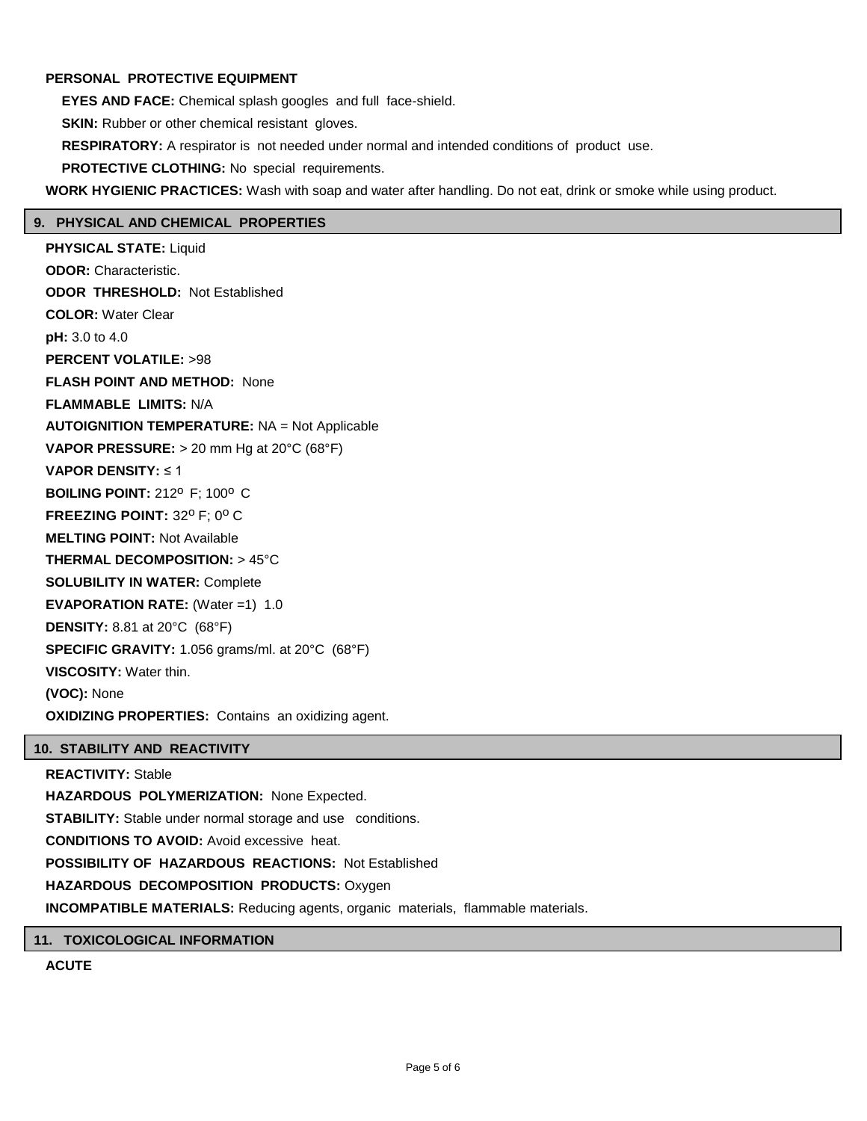## **PERSONAL PROTECTIVE EQUIPMENT**

**EYES AND FACE:** Chemical splash googles and full face-shield. **SKIN:** Rubber or other chemical resistant gloves. **RESPIRATORY:** A respirator is not needed under normal and intended conditions of product use. **PROTECTIVE CLOTHING:** No special requirements.

**WORK HYGIENIC PRACTICES:** Wash with soap and water after handling. Do not eat, drink or smoke while using product.

## **9. PHYSICAL AND CHEMICAL PROPERTIES**

**PHYSICAL STATE:** Liquid **ODOR:** Characteristic. **ODOR THRESHOLD:** Not Established **COLOR:** Water Clear **pH:** 3.0 to 4.0 **PERCENT VOLATILE:** >98 **FLASH POINT AND METHOD:** None **FLAMMABLE LIMITS:** N/A **AUTOIGNITION TEMPERATURE:** NA = Not Applicable **VAPOR PRESSURE:** > 20 mm Hg at 20°C (68°F) **VAPOR DENSITY:** ≤ 1 **BOILING POINT: 212<sup>0</sup> F: 100<sup>0</sup> C FREEZING POINT: 32° F; 0° C MELTING POINT:** Not Available **THERMAL DECOMPOSITION:** > 45°C **SOLUBILITY IN WATER:** Complete **EVAPORATION RATE:** (Water =1) 1.0 **DENSITY:** 8.81 at 20°C (68°F) **SPECIFIC GRAVITY:** 1.056 grams/ml. at 20°C (68°F) **VISCOSITY:** Water thin. **(VOC):** None **OXIDIZING PROPERTIES:** Contains an oxidizing agent.

## **10. STABILITY AND REACTIVITY**

**REACTIVITY:** Stable **HAZARDOUS POLYMERIZATION:** None Expected. **STABILITY:** Stable under normal storage and use conditions. **CONDITIONS TO AVOID:** Avoid excessive heat. **POSSIBILITY OF HAZARDOUS REACTIONS:** Not Established **HAZARDOUS DECOMPOSITION PRODUCTS:** Oxygen **INCOMPATIBLE MATERIALS:** Reducing agents, organic materials, flammable materials.

## **11. TOXICOLOGICAL INFORMATION**

**ACUTE**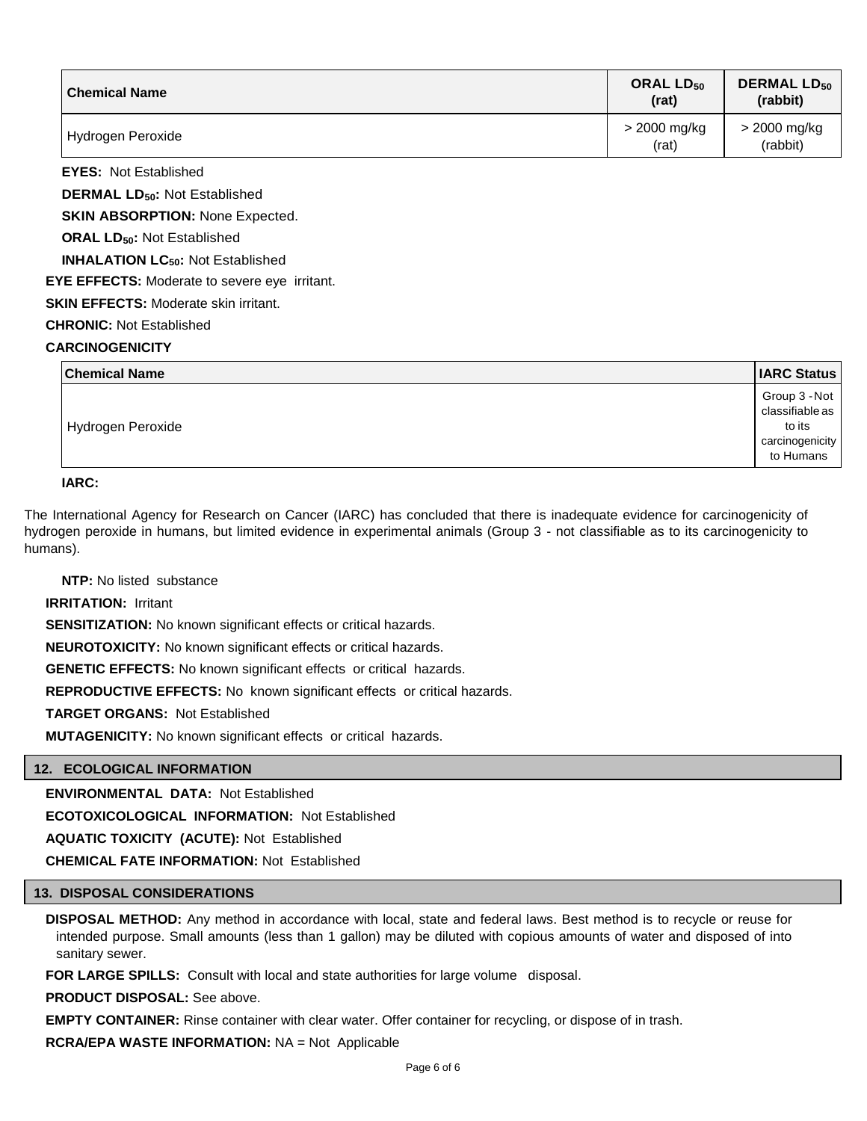| <b>Chemical Name</b>                           | ORAL $LD_{50}$<br>(rat) | <b>DERMAL LD<sub>50</sub></b><br>(rabbit) |
|------------------------------------------------|-------------------------|-------------------------------------------|
| Hydrogen Peroxide                              | > 2000 mg/kg<br>(rat)   | > 2000 mg/kg<br>(rabbit)                  |
| <b>EYES: Not Established</b>                   |                         |                                           |
| <b>DERMAL LD<sub>50</sub>: Not Established</b> |                         |                                           |
| <b>SKIN ABSORPTION: None Expected.</b>         |                         |                                           |
| <b>ORAL LD<sub>50</sub>: Not Established</b>   |                         |                                           |

**INHALATION LC50:** Not Established

**EYE EFFECTS:** Moderate to severe eye irritant.

**SKIN EFFECTS: Moderate skin irritant.** 

**CHRONIC:** Not Established

## **CARCINOGENICITY**

| <b>Chemical Name</b> | <b>IARC Status</b>                                                         |
|----------------------|----------------------------------------------------------------------------|
| Hydrogen Peroxide    | Group 3 - Not<br>classifiable as<br>to its<br>carcinogenicity<br>to Humans |

**IARC:**

The International Agency for Research on Cancer (IARC) has concluded that there is inadequate evidence for carcinogenicity of hydrogen peroxide in humans, but limited evidence in experimental animals (Group 3 - not classifiable as to its carcinogenicity to humans).

**NTP:** No listed substance

**IRRITATION:** Irritant

**SENSITIZATION:** No known significant effects or critical hazards.

**NEUROTOXICITY:** No known significant effects or critical hazards.

**GENETIC EFFECTS:** No known significant effects or critical hazards.

**REPRODUCTIVE EFFECTS:** No known significant effects or critical hazards.

**TARGET ORGANS:** Not Established

**MUTAGENICITY:** No known significant effects or critical hazards.

## **12. ECOLOGICAL INFORMATION**

**ENVIRONMENTAL DATA:** Not Established

**ECOTOXICOLOGICAL INFORMATION:** Not Established

**AQUATIC TOXICITY (ACUTE):** Not Established

**CHEMICAL FATE INFORMATION:** Not Established

## **13. DISPOSAL CONSIDERATIONS**

**DISPOSAL METHOD:** Any method in accordance with local, state and federal laws. Best method is to recycle or reuse for intended purpose. Small amounts (less than 1 gallon) may be diluted with copious amounts of water and disposed of into sanitary sewer.

**FOR LARGE SPILLS:** Consult with local and state authorities for large volume disposal.

**PRODUCT DISPOSAL:** See above.

**EMPTY CONTAINER:** Rinse container with clear water. Offer container for recycling, or dispose of in trash.

**RCRA/EPA WASTE INFORMATION:** NA = Not Applicable